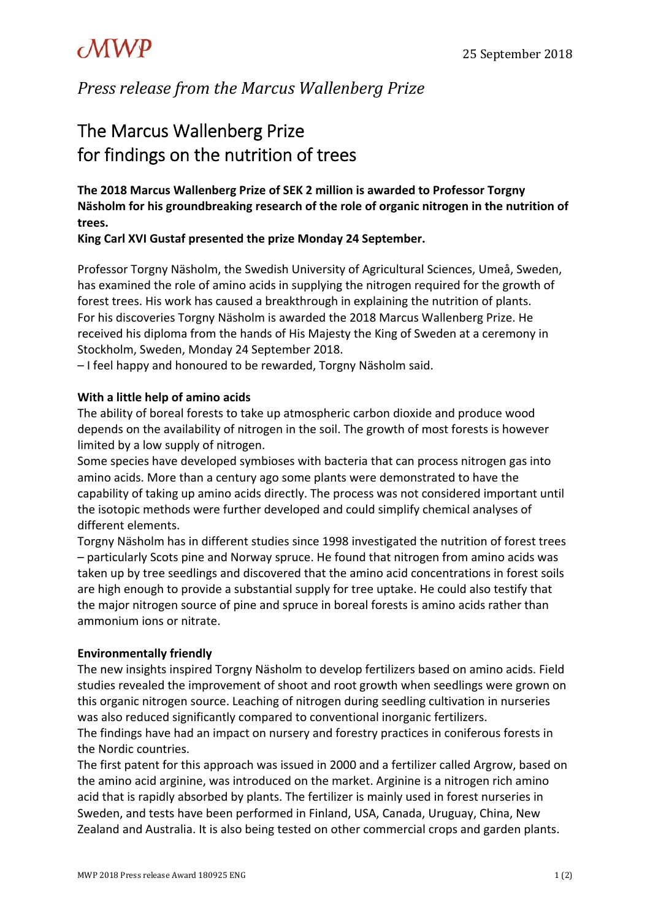# $\mathcal{MWP}$  25 September 2018

*Press release from the Marcus Wallenberg Prize*

# The Marcus Wallenberg Prize for findings on the nutrition of trees

**The 2018 Marcus Wallenberg Prize of SEK 2 million is awarded to Professor Torgny Näsholm for his groundbreaking research of the role of organic nitrogen in the nutrition of trees.**

# **King Carl XVI Gustaf presented the prize Monday 24 September.**

Professor Torgny Näsholm, the Swedish University of Agricultural Sciences, Umeå, Sweden, has examined the role of amino acids in supplying the nitrogen required for the growth of forest trees. His work has caused a breakthrough in explaining the nutrition of plants. For his discoveries Torgny Näsholm is awarded the 2018 Marcus Wallenberg Prize. He received his diploma from the hands of His Majesty the King of Sweden at a ceremony in Stockholm, Sweden, Monday 24 September 2018.

– I feel happy and honoured to be rewarded, Torgny Näsholm said.

## **With a little help of amino acids**

The ability of boreal forests to take up atmospheric carbon dioxide and produce wood depends on the availability of nitrogen in the soil. The growth of most forests is however limited by a low supply of nitrogen.

Some species have developed symbioses with bacteria that can process nitrogen gas into amino acids. More than a century ago some plants were demonstrated to have the capability of taking up amino acids directly. The process was not considered important until the isotopic methods were further developed and could simplify chemical analyses of different elements.

Torgny Näsholm has in different studies since 1998 investigated the nutrition of forest trees – particularly Scots pine and Norway spruce. He found that nitrogen from amino acids was taken up by tree seedlings and discovered that the amino acid concentrations in forest soils are high enough to provide a substantial supply for tree uptake. He could also testify that the major nitrogen source of pine and spruce in boreal forests is amino acids rather than ammonium ions or nitrate.

## **Environmentally friendly**

The new insights inspired Torgny Näsholm to develop fertilizers based on amino acids. Field studies revealed the improvement of shoot and root growth when seedlings were grown on this organic nitrogen source. Leaching of nitrogen during seedling cultivation in nurseries was also reduced significantly compared to conventional inorganic fertilizers.

The findings have had an impact on nursery and forestry practices in coniferous forests in the Nordic countries.

The first patent for this approach was issued in 2000 and a fertilizer called Argrow, based on the amino acid arginine, was introduced on the market. Arginine is a nitrogen rich amino acid that is rapidly absorbed by plants. The fertilizer is mainly used in forest nurseries in Sweden, and tests have been performed in Finland, USA, Canada, Uruguay, China, New Zealand and Australia. It is also being tested on other commercial crops and garden plants.